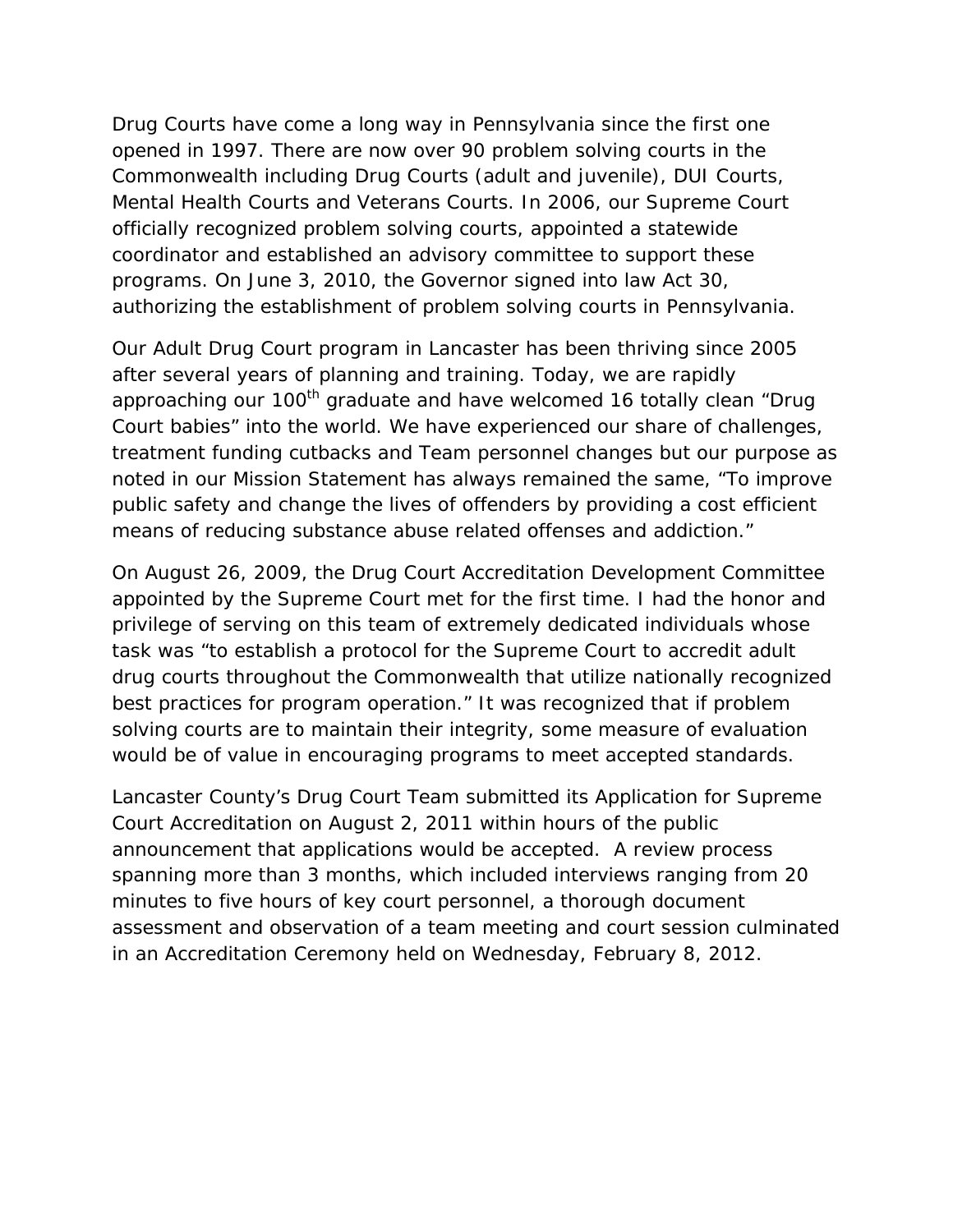Drug Courts have come a long way in Pennsylvania since the first one opened in 1997. There are now over 90 problem solving courts in the Commonwealth including Drug Courts (adult and juvenile), DUI Courts, Mental Health Courts and Veterans Courts. In 2006, our Supreme Court officially recognized problem solving courts, appointed a statewide coordinator and established an advisory committee to support these programs. On June 3, 2010, the Governor signed into law Act 30, authorizing the establishment of problem solving courts in Pennsylvania.

Our Adult Drug Court program in Lancaster has been thriving since 2005 after several years of planning and training. Today, we are rapidly approaching our 100<sup>th</sup> graduate and have welcomed 16 totally clean "Drug Court babies" into the world. We have experienced our share of challenges, treatment funding cutbacks and Team personnel changes but our purpose as noted in our Mission Statement has always remained the same, "To improve public safety and change the lives of offenders by providing a cost efficient means of reducing substance abuse related offenses and addiction."

On August 26, 2009, the Drug Court Accreditation Development Committee appointed by the Supreme Court met for the first time. I had the honor and privilege of serving on this team of extremely dedicated individuals whose task was "to establish a protocol for the Supreme Court to accredit adult drug courts throughout the Commonwealth that utilize nationally recognized best practices for program operation." It was recognized that if problem solving courts are to maintain their integrity, some measure of evaluation would be of value in encouraging programs to meet accepted standards.

Lancaster County's Drug Court Team submitted its Application for Supreme Court Accreditation on August 2, 2011 within hours of the public announcement that applications would be accepted. A review process spanning more than 3 months, which included interviews ranging from 20 minutes to five hours of key court personnel, a thorough document assessment and observation of a team meeting and court session culminated in an Accreditation Ceremony held on Wednesday, February 8, 2012.